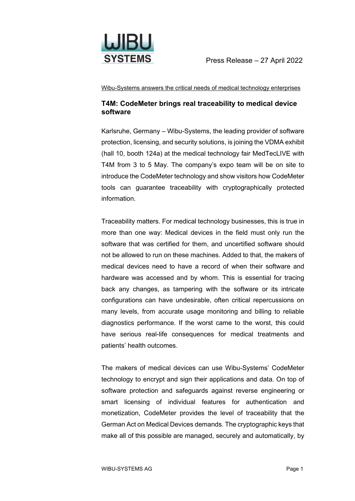

Wibu-Systems answers the critical needs of medical technology enterprises

## **T4M: CodeMeter brings real traceability to medical device software**

Karlsruhe, Germany – Wibu-Systems, the leading provider of software protection, licensing, and security solutions, is joining the VDMA exhibit (hall 10, booth 124a) at the medical technology fair MedTecLIVE with T4M from 3 to 5 May. The company's expo team will be on site to introduce the CodeMeter technology and show visitors how CodeMeter tools can guarantee traceability with cryptographically protected information.

Traceability matters. For medical technology businesses, this is true in more than one way: Medical devices in the field must only run the software that was certified for them, and uncertified software should not be allowed to run on these machines. Added to that, the makers of medical devices need to have a record of when their software and hardware was accessed and by whom. This is essential for tracing back any changes, as tampering with the software or its intricate configurations can have undesirable, often critical repercussions on many levels, from accurate usage monitoring and billing to reliable diagnostics performance. If the worst came to the worst, this could have serious real-life consequences for medical treatments and patients' health outcomes.

The makers of medical devices can use Wibu-Systems' CodeMeter technology to encrypt and sign their applications and data. On top of software protection and safeguards against reverse engineering or smart licensing of individual features for authentication and monetization, CodeMeter provides the level of traceability that the German Act on Medical Devices demands. The cryptographic keys that make all of this possible are managed, securely and automatically, by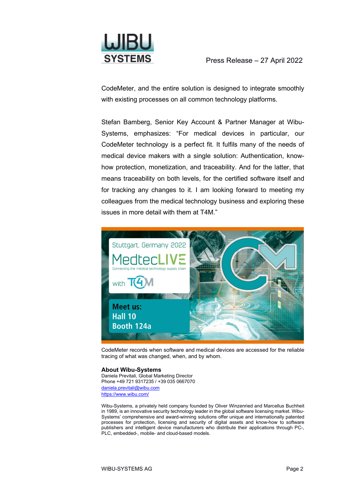

CodeMeter, and the entire solution is designed to integrate smoothly with existing processes on all common technology platforms.

Stefan Bamberg, Senior Key Account & Partner Manager at Wibu-Systems, emphasizes: "For medical devices in particular, our CodeMeter technology is a perfect fit. It fulfils many of the needs of medical device makers with a single solution: Authentication, knowhow protection, monetization, and traceability. And for the latter, that means traceability on both levels, for the certified software itself and for tracking any changes to it. I am looking forward to meeting my colleagues from the medical technology business and exploring these issues in more detail with them at T4M."



CodeMeter records when software and medical devices are accessed for the reliable tracing of what was changed, when, and by whom.

## **About Wibu-Systems**

Daniela Previtali, Global Marketing Director Phone +49 721 9317235 / +39 035 0667070 [daniela.previtali@wibu.com](mailto:daniela.previtali@wibu.com) <https://www.wibu.com/>

Wibu-Systems, a privately held company founded by Oliver Winzenried and Marcellus Buchheit in 1989, is an innovative security technology leader in the global software licensing market. Wibu-Systems' comprehensive and award-winning solutions offer unique and internationally patented processes for protection, licensing and security of digital assets and know-how to software publishers and intelligent device manufacturers who distribute their applications through PC-, PLC, embedded-, mobile- and cloud-based models.